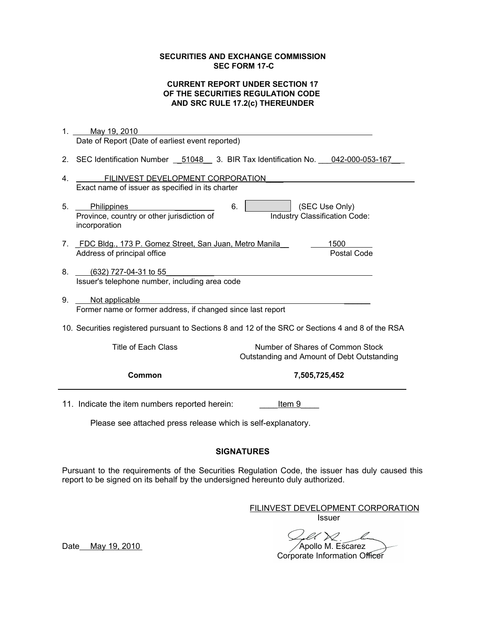#### **SECURITIES AND EXCHANGE COMMISSION SEC FORM 17-C**

### **CURRENT REPORT UNDER SECTION 17 OF THE SECURITIES REGULATION CODE AND SRC RULE 17.2(c) THEREUNDER**

| 1.<br>May 19, 2010                                                                                                                        |  |
|-------------------------------------------------------------------------------------------------------------------------------------------|--|
| Date of Report (Date of earliest event reported)                                                                                          |  |
| 2. SEC Identification Number __ 51048 __ 3. BIR Tax Identification No. 042-000-053-167                                                    |  |
| FILINVEST DEVELOPMENT CORPORATION<br>4.                                                                                                   |  |
| Exact name of issuer as specified in its charter                                                                                          |  |
| (SEC Use Only)<br>5.<br>Philippines<br>6.<br>Province, country or other jurisdiction of<br>Industry Classification Code:<br>incorporation |  |
| 7. FDC Bldg., 173 P. Gomez Street, San Juan, Metro Manila<br>1500                                                                         |  |
| Postal Code<br>Address of principal office                                                                                                |  |
|                                                                                                                                           |  |
| 8.<br>(632) 727-04-31 to 55                                                                                                               |  |
| Issuer's telephone number, including area code                                                                                            |  |
| 9.<br>Not applicable                                                                                                                      |  |
| Former name or former address, if changed since last report                                                                               |  |
| 10. Securities registered pursuant to Sections 8 and 12 of the SRC or Sections 4 and 8 of the RSA                                         |  |
| <b>Title of Each Class</b><br>Number of Shares of Common Stock<br>Outstanding and Amount of Debt Outstanding                              |  |
| Common<br>7,505,725,452                                                                                                                   |  |
| 11. Indicate the item numbers reported herein:<br>Item 9                                                                                  |  |
| Please see attached press release which is self-explanatory.                                                                              |  |

### **SIGNATURES**

Pursuant to the requirements of the Securities Regulation Code, the issuer has duly caused this report to be signed on its behalf by the undersigned hereunto duly authorized.

> FILINVEST DEVELOPMENT CORPORATION Issuer

Date May 19, 2010 Apollo M. Escarez **Corporate Information Officer**